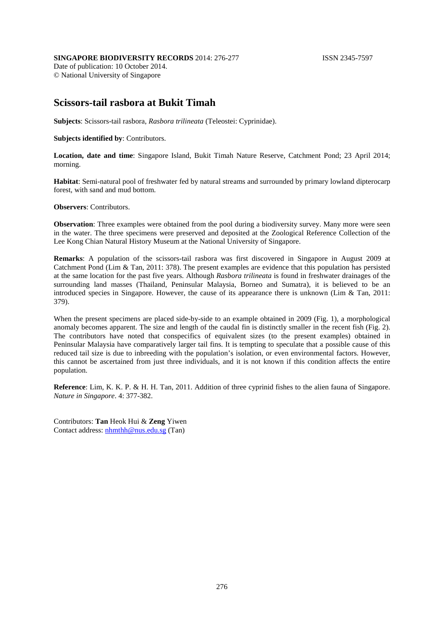## **SINGAPORE BIODIVERSITY RECORDS** 2014: 276-277 **ISSN 2345-7597**

Date of publication: 10 October 2014. © National University of Singapore

## **Scissors-tail rasbora at Bukit Timah**

**Subjects**: Scissors-tail rasbora, *Rasbora trilineata* (Teleostei: Cyprinidae).

## **Subjects identified by**: Contributors.

**Location, date and time**: Singapore Island, Bukit Timah Nature Reserve, Catchment Pond; 23 April 2014; morning.

**Habitat**: Semi-natural pool of freshwater fed by natural streams and surrounded by primary lowland dipterocarp forest, with sand and mud bottom.

**Observers**: Contributors.

**Observation**: Three examples were obtained from the pool during a biodiversity survey. Many more were seen in the water. The three specimens were preserved and deposited at the Zoological Reference Collection of the Lee Kong Chian Natural History Museum at the National University of Singapore.

**Remarks**: A population of the scissors-tail rasbora was first discovered in Singapore in August 2009 at Catchment Pond (Lim & Tan, 2011: 378). The present examples are evidence that this population has persisted at the same location for the past five years. Although *Rasbora trilineata* is found in freshwater drainages of the surrounding land masses (Thailand, Peninsular Malaysia, Borneo and Sumatra), it is believed to be an introduced species in Singapore. However, the cause of its appearance there is unknown (Lim & Tan, 2011: 379).

When the present specimens are placed side-by-side to an example obtained in 2009 (Fig. 1), a morphological anomaly becomes apparent. The size and length of the caudal fin is distinctly smaller in the recent fish (Fig. 2). The contributors have noted that conspecifics of equivalent sizes (to the present examples) obtained in Peninsular Malaysia have comparatively larger tail fins. It is tempting to speculate that a possible cause of this reduced tail size is due to inbreeding with the population's isolation, or even environmental factors. However, this cannot be ascertained from just three individuals, and it is not known if this condition affects the entire population.

**Reference**: Lim, K. K. P. & H. H. Tan, 2011. Addition of three cyprinid fishes to the alien fauna of Singapore. *Nature in Singapore*. 4: 377-382.

Contributors: **Tan** Heok Hui & **Zeng** Yiwen Contact address: [nhmthh@nus.edu.sg](mailto:nhmthh@nus.edu.sg) (Tan)